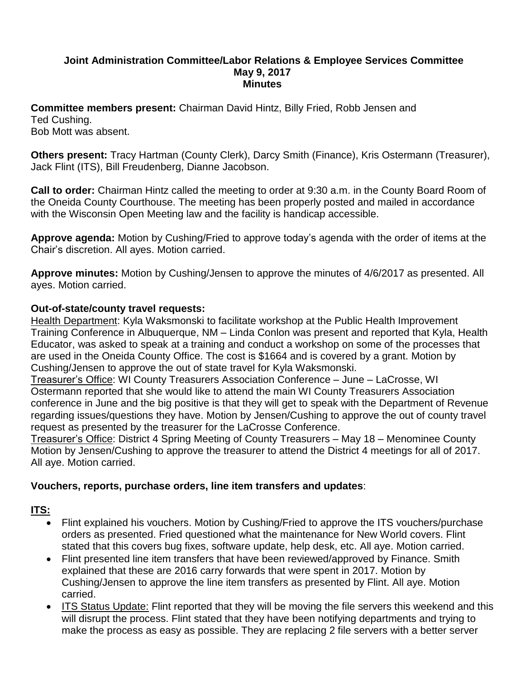#### **Joint Administration Committee/Labor Relations & Employee Services Committee May 9, 2017 Minutes**

**Committee members present:** Chairman David Hintz, Billy Fried, Robb Jensen and Ted Cushing. Bob Mott was absent.

**Others present:** Tracy Hartman (County Clerk), Darcy Smith (Finance), Kris Ostermann (Treasurer), Jack Flint (ITS), Bill Freudenberg, Dianne Jacobson.

**Call to order:** Chairman Hintz called the meeting to order at 9:30 a.m. in the County Board Room of the Oneida County Courthouse. The meeting has been properly posted and mailed in accordance with the Wisconsin Open Meeting law and the facility is handicap accessible.

**Approve agenda:** Motion by Cushing/Fried to approve today's agenda with the order of items at the Chair's discretion. All ayes. Motion carried.

**Approve minutes:** Motion by Cushing/Jensen to approve the minutes of 4/6/2017 as presented. All ayes. Motion carried.

### **Out-of-state/county travel requests:**

Health Department: Kyla Waksmonski to facilitate workshop at the Public Health Improvement Training Conference in Albuquerque, NM – Linda Conlon was present and reported that Kyla, Health Educator, was asked to speak at a training and conduct a workshop on some of the processes that are used in the Oneida County Office. The cost is \$1664 and is covered by a grant. Motion by Cushing/Jensen to approve the out of state travel for Kyla Waksmonski.

Treasurer's Office: WI County Treasurers Association Conference – June – LaCrosse, WI Ostermann reported that she would like to attend the main WI County Treasurers Association conference in June and the big positive is that they will get to speak with the Department of Revenue regarding issues/questions they have. Motion by Jensen/Cushing to approve the out of county travel request as presented by the treasurer for the LaCrosse Conference.

Treasurer's Office: District 4 Spring Meeting of County Treasurers – May 18 – Menominee County Motion by Jensen/Cushing to approve the treasurer to attend the District 4 meetings for all of 2017. All aye. Motion carried.

### **Vouchers, reports, purchase orders, line item transfers and updates**:

### **ITS:**

- Flint explained his vouchers. Motion by Cushing/Fried to approve the ITS vouchers/purchase orders as presented. Fried questioned what the maintenance for New World covers. Flint stated that this covers bug fixes, software update, help desk, etc. All aye. Motion carried.
- Flint presented line item transfers that have been reviewed/approved by Finance. Smith explained that these are 2016 carry forwards that were spent in 2017. Motion by Cushing/Jensen to approve the line item transfers as presented by Flint. All aye. Motion carried.
- ITS Status Update: Flint reported that they will be moving the file servers this weekend and this will disrupt the process. Flint stated that they have been notifying departments and trying to make the process as easy as possible. They are replacing 2 file servers with a better server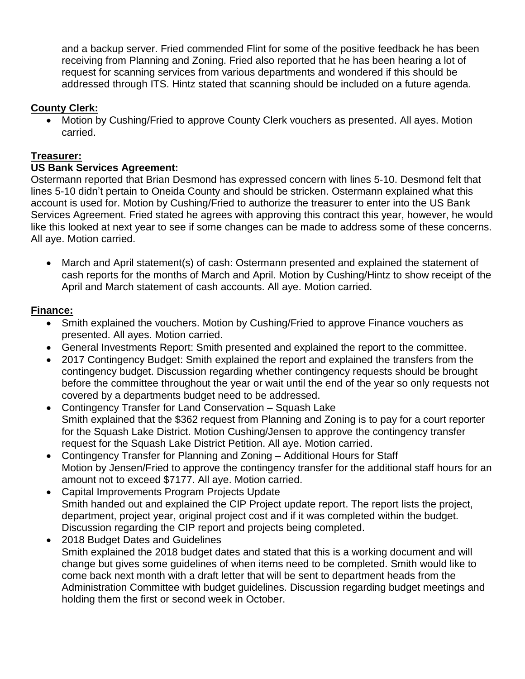and a backup server. Fried commended Flint for some of the positive feedback he has been receiving from Planning and Zoning. Fried also reported that he has been hearing a lot of request for scanning services from various departments and wondered if this should be addressed through ITS. Hintz stated that scanning should be included on a future agenda.

## **County Clerk:**

 Motion by Cushing/Fried to approve County Clerk vouchers as presented. All ayes. Motion carried.

## **Treasurer:**

### **US Bank Services Agreement:**

Ostermann reported that Brian Desmond has expressed concern with lines 5-10. Desmond felt that lines 5-10 didn't pertain to Oneida County and should be stricken. Ostermann explained what this account is used for. Motion by Cushing/Fried to authorize the treasurer to enter into the US Bank Services Agreement. Fried stated he agrees with approving this contract this year, however, he would like this looked at next year to see if some changes can be made to address some of these concerns. All aye. Motion carried.

 March and April statement(s) of cash: Ostermann presented and explained the statement of cash reports for the months of March and April. Motion by Cushing/Hintz to show receipt of the April and March statement of cash accounts. All aye. Motion carried.

### **Finance:**

- Smith explained the vouchers. Motion by Cushing/Fried to approve Finance vouchers as presented. All ayes. Motion carried.
- General Investments Report: Smith presented and explained the report to the committee.
- 2017 Contingency Budget: Smith explained the report and explained the transfers from the contingency budget. Discussion regarding whether contingency requests should be brought before the committee throughout the year or wait until the end of the year so only requests not covered by a departments budget need to be addressed.
- Contingency Transfer for Land Conservation Squash Lake Smith explained that the \$362 request from Planning and Zoning is to pay for a court reporter for the Squash Lake District. Motion Cushing/Jensen to approve the contingency transfer request for the Squash Lake District Petition. All aye. Motion carried.
- Contingency Transfer for Planning and Zoning Additional Hours for Staff Motion by Jensen/Fried to approve the contingency transfer for the additional staff hours for an amount not to exceed \$7177. All aye. Motion carried.
- Capital Improvements Program Projects Update Smith handed out and explained the CIP Project update report. The report lists the project, department, project year, original project cost and if it was completed within the budget. Discussion regarding the CIP report and projects being completed.
- 2018 Budget Dates and Guidelines Smith explained the 2018 budget dates and stated that this is a working document and will change but gives some guidelines of when items need to be completed. Smith would like to come back next month with a draft letter that will be sent to department heads from the Administration Committee with budget guidelines. Discussion regarding budget meetings and holding them the first or second week in October.